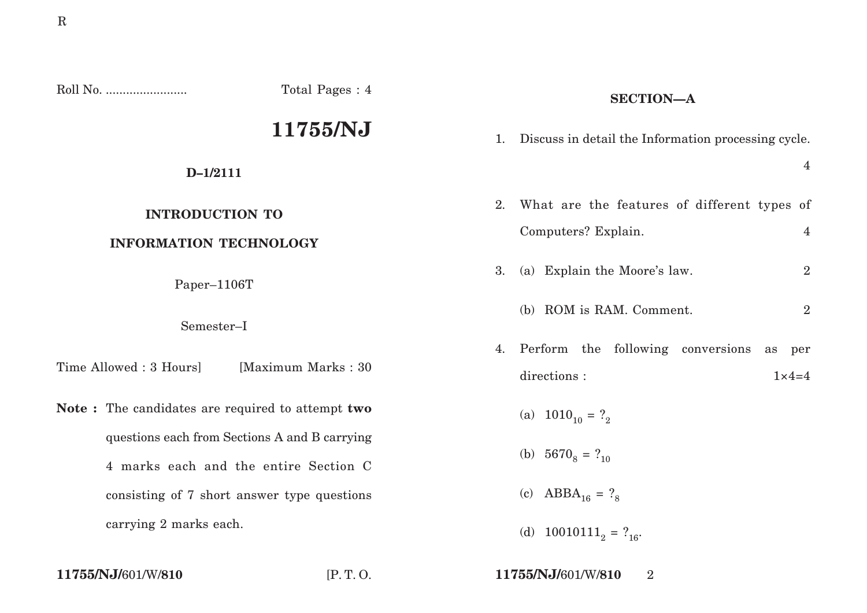| Roll No.                                                                                          | Total Pages: 4      | <b>SECTION-A</b> |                                                                    |                            |
|---------------------------------------------------------------------------------------------------|---------------------|------------------|--------------------------------------------------------------------|----------------------------|
|                                                                                                   | 11755/NJ            | 1.               | Discuss in detail the Information processing cycle.                |                            |
| $D-1/2111$                                                                                        |                     |                  |                                                                    | $\overline{4}$             |
| <b>INTRODUCTION TO</b><br><b>INFORMATION TECHNOLOGY</b><br>Paper-1106T<br>Semester-I              |                     | 2.               | What are the features of different types of<br>Computers? Explain. | $\overline{4}$             |
|                                                                                                   |                     | 3.               | (a) Explain the Moore's law.                                       | $\overline{2}$             |
|                                                                                                   |                     |                  | (b) ROM is RAM. Comment.                                           | $\overline{2}$             |
| Time Allowed: 3 Hours]                                                                            | [Maximum Marks: 30] | 4.               | Perform the following conversions<br>directions :                  | as<br>per<br>$1\times 4=4$ |
| Note: The candidates are required to attempt two<br>questions each from Sections A and B carrying |                     |                  | (a) $1010_{10} = ?_2$                                              |                            |
| 4 marks each and the entire Section C                                                             |                     |                  | (b) $5670_8 = ?_{10}$                                              |                            |
| consisting of 7 short answer type questions                                                       |                     |                  | (c) $ABBA_{16} = ?_8$                                              |                            |
| carrying 2 marks each.                                                                            |                     |                  | (d) $10010111_2 = ?_{16}$                                          |                            |

**11755/NJ/**601/W/**810** [P. T. O. **11755/NJ/**601/W/**810** 2